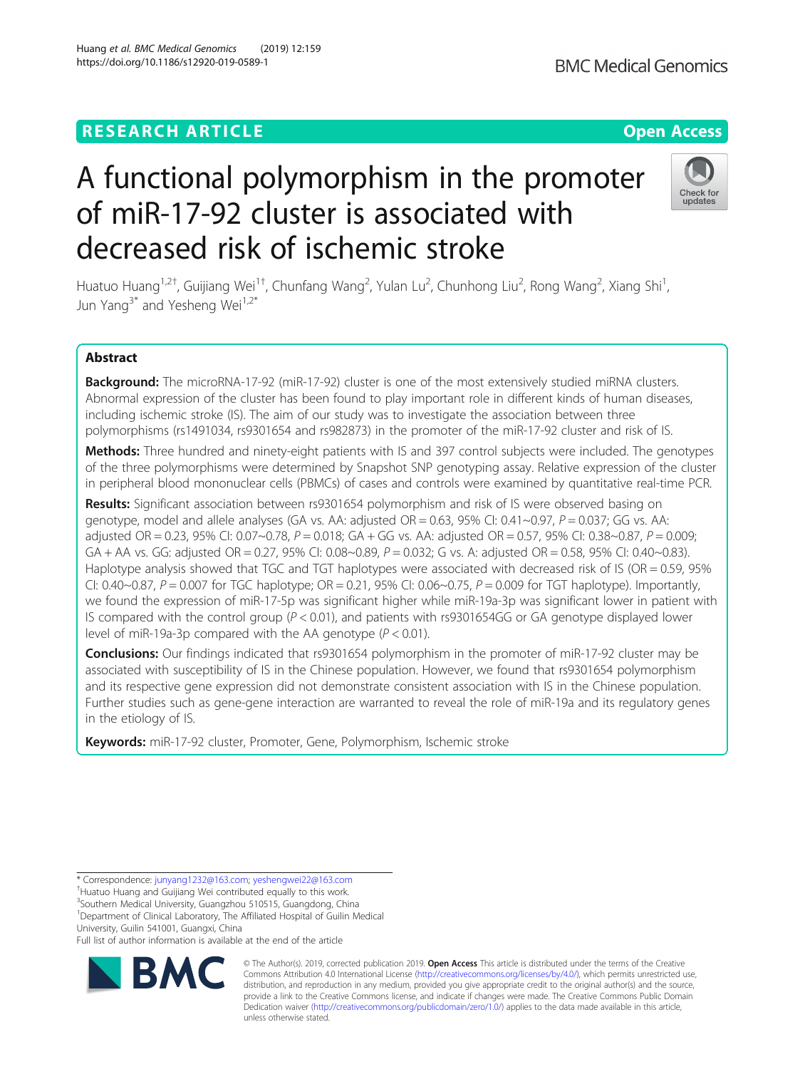# **RESEARCH ARTICLE Example 2014 12:30 The Contract of Contract ACCESS**

# A functional polymorphism in the promoter of miR-17-92 cluster is associated with decreased risk of ischemic stroke

Huatuo Huang<sup>1,2†</sup>, Guijiang Wei<sup>1†</sup>, Chunfang Wang<sup>2</sup>, Yulan Lu<sup>2</sup>, Chunhong Liu<sup>2</sup>, Rong Wang<sup>2</sup>, Xiang Shi<sup>1</sup> , Jun Yang<sup>3\*</sup> and Yesheng Wei<sup>1,2\*</sup>

# Abstract

Background: The microRNA-17-92 (miR-17-92) cluster is one of the most extensively studied miRNA clusters. Abnormal expression of the cluster has been found to play important role in different kinds of human diseases, including ischemic stroke (IS). The aim of our study was to investigate the association between three polymorphisms (rs1491034, rs9301654 and rs982873) in the promoter of the miR-17-92 cluster and risk of IS.

Methods: Three hundred and ninety-eight patients with IS and 397 control subjects were included. The genotypes of the three polymorphisms were determined by Snapshot SNP genotyping assay. Relative expression of the cluster in peripheral blood mononuclear cells (PBMCs) of cases and controls were examined by quantitative real-time PCR.

Results: Significant association between rs9301654 polymorphism and risk of IS were observed basing on genotype, model and allele analyses (GA vs. AA: adjusted  $OR = 0.63$ ,  $95\%$  CI:  $0.41 \sim 0.97$ ,  $P = 0.037$ ; GG vs. AA: adjusted OR = 0.23, 95% CI: 0.07~0.78,  $P = 0.018$ ; GA + GG vs. AA: adjusted OR = 0.57, 95% CI: 0.38~0.87,  $P = 0.009$ ; GA + AA vs. GG: adjusted OR = 0.27, 95% CI: 0.08~0.89,  $P = 0.032$ ; G vs. A: adjusted OR = 0.58, 95% CI: 0.40~0.83). Haplotype analysis showed that TGC and TGT haplotypes were associated with decreased risk of IS (OR = 0.59, 95% CI: 0.40~0.87,  $P = 0.007$  for TGC haplotype; OR = 0.21, 95% CI: 0.06~0.75,  $P = 0.009$  for TGT haplotype). Importantly, we found the expression of miR-17-5p was significant higher while miR-19a-3p was significant lower in patient with IS compared with the control group  $(P < 0.01)$ , and patients with rs9301654GG or GA genotype displayed lower level of miR-19a-3p compared with the AA genotype ( $P < 0.01$ ).

**Conclusions:** Our findings indicated that rs9301654 polymorphism in the promoter of miR-17-92 cluster may be associated with susceptibility of IS in the Chinese population. However, we found that rs9301654 polymorphism and its respective gene expression did not demonstrate consistent association with IS in the Chinese population. Further studies such as gene-gene interaction are warranted to reveal the role of miR-19a and its regulatory genes in the etiology of IS.

Keywords: miR-17-92 cluster, Promoter, Gene, Polymorphism, Ischemic stroke

Huatuo Huang and Guijiang Wei contributed equally to this work. <sup>3</sup>Southern Medical University, Guangzhou 510515, Guangdong, China

<sup>1</sup>Department of Clinical Laboratory, The Affiliated Hospital of Guilin Medical University, Guilin 541001, Guangxi, China

Full list of author information is available at the end of the article



© The Author(s). 2019, corrected publication 2019. Open Access This article is distributed under the terms of the Creative Commons Attribution 4.0 International License ([http://creativecommons.org/licenses/by/4.0/\)](http://creativecommons.org/licenses/by/4.0/), which permits unrestricted use, distribution, and reproduction in any medium, provided you give appropriate credit to the original author(s) and the source, provide a link to the Creative Commons license, and indicate if changes were made. The Creative Commons Public Domain Dedication waiver [\(http://creativecommons.org/publicdomain/zero/1.0/](http://creativecommons.org/publicdomain/zero/1.0/)) applies to the data made available in this article, unless otherwise stated.







<sup>\*</sup> Correspondence: [junyang1232@163.com;](mailto:junyang1232@163.com) [yeshengwei22@163.com](mailto:yeshengwei22@163.com) †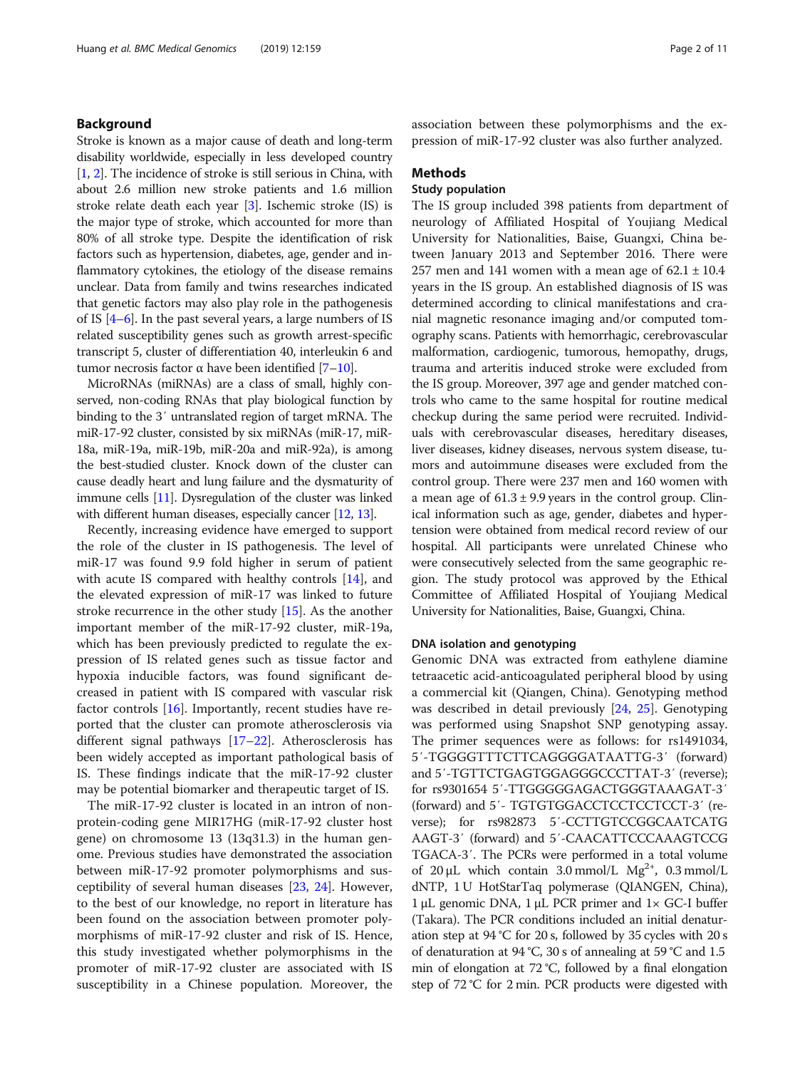## Background

Stroke is known as a major cause of death and long-term disability worldwide, especially in less developed country [[1,](#page-9-0) [2](#page-9-0)]. The incidence of stroke is still serious in China, with about 2.6 million new stroke patients and 1.6 million stroke relate death each year [[3](#page-9-0)]. Ischemic stroke (IS) is the major type of stroke, which accounted for more than 80% of all stroke type. Despite the identification of risk factors such as hypertension, diabetes, age, gender and inflammatory cytokines, the etiology of the disease remains unclear. Data from family and twins researches indicated that genetic factors may also play role in the pathogenesis of IS  $[4-6]$  $[4-6]$  $[4-6]$ . In the past several years, a large numbers of IS related susceptibility genes such as growth arrest-specific transcript 5, cluster of differentiation 40, interleukin 6 and tumor necrosis factor α have been identified  $[7-10]$  $[7-10]$  $[7-10]$  $[7-10]$  $[7-10]$ .

MicroRNAs (miRNAs) are a class of small, highly conserved, non-coding RNAs that play biological function by binding to the 3′ untranslated region of target mRNA. The miR-17-92 cluster, consisted by six miRNAs (miR-17, miR-18a, miR-19a, miR-19b, miR-20a and miR-92a), is among the best-studied cluster. Knock down of the cluster can cause deadly heart and lung failure and the dysmaturity of immune cells [\[11\]](#page-9-0). Dysregulation of the cluster was linked with different human diseases, especially cancer [\[12,](#page-9-0) [13\]](#page-9-0).

Recently, increasing evidence have emerged to support the role of the cluster in IS pathogenesis. The level of miR-17 was found 9.9 fold higher in serum of patient with acute IS compared with healthy controls [\[14](#page-9-0)], and the elevated expression of miR-17 was linked to future stroke recurrence in the other study [\[15](#page-9-0)]. As the another important member of the miR-17-92 cluster, miR-19a, which has been previously predicted to regulate the expression of IS related genes such as tissue factor and hypoxia inducible factors, was found significant decreased in patient with IS compared with vascular risk factor controls [[16](#page-9-0)]. Importantly, recent studies have reported that the cluster can promote atherosclerosis via different signal pathways [\[17](#page-9-0)–[22\]](#page-9-0). Atherosclerosis has been widely accepted as important pathological basis of IS. These findings indicate that the miR-17-92 cluster may be potential biomarker and therapeutic target of IS.

The miR-17-92 cluster is located in an intron of nonprotein-coding gene MIR17HG (miR-17-92 cluster host gene) on chromosome 13 (13q31.3) in the human genome. Previous studies have demonstrated the association between miR-17-92 promoter polymorphisms and susceptibility of several human diseases [[23,](#page-9-0) [24\]](#page-9-0). However, to the best of our knowledge, no report in literature has been found on the association between promoter polymorphisms of miR-17-92 cluster and risk of IS. Hence, this study investigated whether polymorphisms in the promoter of miR-17-92 cluster are associated with IS susceptibility in a Chinese population. Moreover, the association between these polymorphisms and the expression of miR-17-92 cluster was also further analyzed.

#### Methods

# Study population

The IS group included 398 patients from department of neurology of Affiliated Hospital of Youjiang Medical University for Nationalities, Baise, Guangxi, China between January 2013 and September 2016. There were 257 men and 141 women with a mean age of  $62.1 \pm 10.4$ years in the IS group. An established diagnosis of IS was determined according to clinical manifestations and cranial magnetic resonance imaging and/or computed tomography scans. Patients with hemorrhagic, cerebrovascular malformation, cardiogenic, tumorous, hemopathy, drugs, trauma and arteritis induced stroke were excluded from the IS group. Moreover, 397 age and gender matched controls who came to the same hospital for routine medical checkup during the same period were recruited. Individuals with cerebrovascular diseases, hereditary diseases, liver diseases, kidney diseases, nervous system disease, tumors and autoimmune diseases were excluded from the control group. There were 237 men and 160 women with a mean age of  $61.3 \pm 9.9$  years in the control group. Clinical information such as age, gender, diabetes and hypertension were obtained from medical record review of our hospital. All participants were unrelated Chinese who were consecutively selected from the same geographic region. The study protocol was approved by the Ethical Committee of Affiliated Hospital of Youjiang Medical University for Nationalities, Baise, Guangxi, China.

## DNA isolation and genotyping

Genomic DNA was extracted from eathylene diamine tetraacetic acid-anticoagulated peripheral blood by using a commercial kit (Qiangen, China). Genotyping method was described in detail previously [\[24,](#page-9-0) [25](#page-9-0)]. Genotyping was performed using Snapshot SNP genotyping assay. The primer sequences were as follows: for rs1491034, 5′-TGGGGTTTCTTCAGGGGATAATTG-3′ (forward) and 5′-TGTTCTGAGTGGAGGGCCCTTAT-3′ (reverse); for rs9301654 5′-TTGGGGGAGACTGGGTAAAGAT-3′ (forward) and 5′- TGTGTGGACCTCCTCCTCCT-3′ (reverse); for rs982873 5′-CCTTGTCCGGCAATCATG AAGT-3′ (forward) and 5′-CAACATTCCCAAAGTCCG TGACA-3′. The PCRs were performed in a total volume of 20  $\mu$ L which contain 3.0 mmol/L Mg<sup>2+</sup>, 0.3 mmol/L dNTP, 1 U HotStarTaq polymerase (QIANGEN, China), 1 μL genomic DNA, 1 μL PCR primer and  $1 \times$  GC-I buffer (Takara). The PCR conditions included an initial denaturation step at 94 °C for 20 s, followed by 35 cycles with 20 s of denaturation at 94 °C, 30 s of annealing at 59 °C and 1.5 min of elongation at 72 °C, followed by a final elongation step of 72 °C for 2 min. PCR products were digested with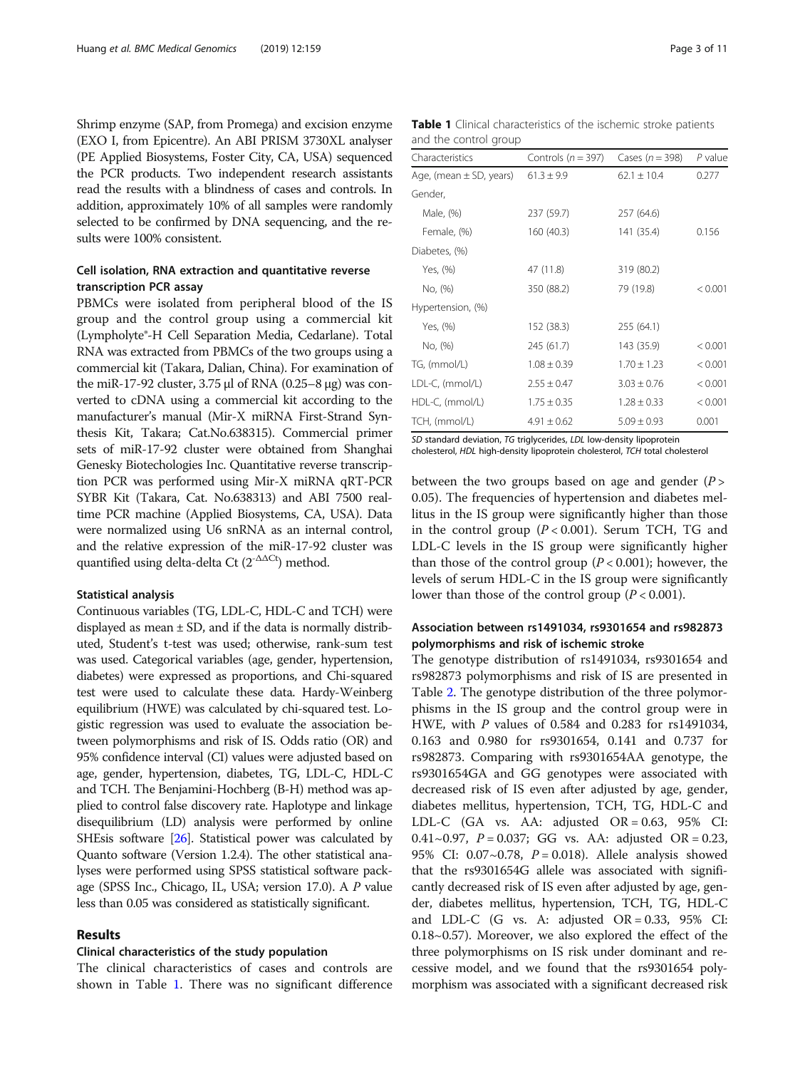Shrimp enzyme (SAP, from Promega) and excision enzyme (EXO I, from Epicentre). An ABI PRISM 3730XL analyser (PE Applied Biosystems, Foster City, CA, USA) sequenced the PCR products. Two independent research assistants read the results with a blindness of cases and controls. In addition, approximately 10% of all samples were randomly selected to be confirmed by DNA sequencing, and the results were 100% consistent.

# Cell isolation, RNA extraction and quantitative reverse transcription PCR assay

PBMCs were isolated from peripheral blood of the IS group and the control group using a commercial kit (Lympholyte®-H Cell Separation Media, Cedarlane). Total RNA was extracted from PBMCs of the two groups using a commercial kit (Takara, Dalian, China). For examination of the miR-17-92 cluster,  $3.75$  μl of RNA (0.25–8 μg) was converted to cDNA using a commercial kit according to the manufacturer's manual (Mir-X miRNA First-Strand Synthesis Kit, Takara; Cat.No.638315). Commercial primer sets of miR-17-92 cluster were obtained from Shanghai Genesky Biotechologies Inc. Quantitative reverse transcription PCR was performed using Mir-X miRNA qRT-PCR SYBR Kit (Takara, Cat. No.638313) and ABI 7500 realtime PCR machine (Applied Biosystems, CA, USA). Data were normalized using U6 snRNA as an internal control, and the relative expression of the miR-17-92 cluster was quantified using delta-delta Ct  $(2^{-\Delta\Delta Ct})$  method.

#### Statistical analysis

Continuous variables (TG, LDL-C, HDL-C and TCH) were displayed as mean  $\pm$  SD, and if the data is normally distributed, Student's t-test was used; otherwise, rank-sum test was used. Categorical variables (age, gender, hypertension, diabetes) were expressed as proportions, and Chi-squared test were used to calculate these data. Hardy-Weinberg equilibrium (HWE) was calculated by chi-squared test. Logistic regression was used to evaluate the association between polymorphisms and risk of IS. Odds ratio (OR) and 95% confidence interval (CI) values were adjusted based on age, gender, hypertension, diabetes, TG, LDL-C, HDL-C and TCH. The Benjamini-Hochberg (B-H) method was applied to control false discovery rate. Haplotype and linkage disequilibrium (LD) analysis were performed by online SHEsis software [\[26](#page-9-0)]. Statistical power was calculated by Quanto software (Version 1.2.4). The other statistical analyses were performed using SPSS statistical software package (SPSS Inc., Chicago, IL, USA; version 17.0). A P value less than 0.05 was considered as statistically significant.

#### Results

#### Clinical characteristics of the study population

The clinical characteristics of cases and controls are shown in Table 1. There was no significant difference

Table 1 Clinical characteristics of the ischemic stroke patients and the control group

| Characteristics             | Controls ( $n = 397$ ) | Cases $(n = 398)$ | $P$ value |  |
|-----------------------------|------------------------|-------------------|-----------|--|
| Age, (mean $\pm$ SD, years) | $61.3 \pm 9.9$         | $62.1 \pm 10.4$   | 0.277     |  |
| Gender,                     |                        |                   |           |  |
| Male, (%)                   | 237 (59.7)             | 257 (64.6)        |           |  |
| Female, (%)                 | 160(40.3)              | 141 (35.4)        | 0.156     |  |
| Diabetes, (%)               |                        |                   |           |  |
| Yes, (%)                    | 47 (11.8)              | 319 (80.2)        |           |  |
| No, (%)                     | 350 (88.2)             | 79 (19.8)         | < 0.001   |  |
| Hypertension, (%)           |                        |                   |           |  |
| Yes, (%)                    | 152 (38.3)             | 255 (64.1)        |           |  |
| No, (%)                     | 245 (61.7)             | 143 (35.9)        | < 0.001   |  |
| TG, (mmol/L)                | $1.08 \pm 0.39$        | $1.70 \pm 1.23$   | < 0.001   |  |
| LDL-C, (mmol/L)             | $2.55 \pm 0.47$        | $3.03 \pm 0.76$   | < 0.001   |  |
| HDL-C, (mmol/L)             | $1.75 \pm 0.35$        | $1.28 \pm 0.33$   | < 0.001   |  |
| TCH, (mmol/L)               | $4.91 \pm 0.62$        | $5.09 \pm 0.93$   | 0.001     |  |

SD standard deviation, TG triglycerides, LDL low-density lipoprotein cholesterol, HDL high-density lipoprotein cholesterol, TCH total cholesterol

between the two groups based on age and gender  $(P >$ 0.05). The frequencies of hypertension and diabetes mellitus in the IS group were significantly higher than those in the control group  $(P < 0.001)$ . Serum TCH, TG and LDL-C levels in the IS group were significantly higher than those of the control group  $(P < 0.001)$ ; however, the levels of serum HDL-C in the IS group were significantly lower than those of the control group  $(P < 0.001)$ .

# Association between rs1491034, rs9301654 and rs982873 polymorphisms and risk of ischemic stroke

The genotype distribution of rs1491034, rs9301654 and rs982873 polymorphisms and risk of IS are presented in Table [2.](#page-3-0) The genotype distribution of the three polymorphisms in the IS group and the control group were in HWE, with P values of 0.584 and 0.283 for rs1491034, 0.163 and 0.980 for rs9301654, 0.141 and 0.737 for rs982873. Comparing with rs9301654AA genotype, the rs9301654GA and GG genotypes were associated with decreased risk of IS even after adjusted by age, gender, diabetes mellitus, hypertension, TCH, TG, HDL-C and LDL-C (GA vs. AA: adjusted  $OR = 0.63$ , 95% CI: 0.41~0.97,  $P = 0.037$ ; GG vs. AA: adjusted OR = 0.23, 95% CI:  $0.07 \sim 0.78$ ,  $P = 0.018$ ). Allele analysis showed that the rs9301654G allele was associated with significantly decreased risk of IS even after adjusted by age, gender, diabetes mellitus, hypertension, TCH, TG, HDL-C and LDL-C (G vs. A: adjusted  $OR = 0.33$ ,  $95\%$  CI: 0.18~0.57). Moreover, we also explored the effect of the three polymorphisms on IS risk under dominant and recessive model, and we found that the rs9301654 polymorphism was associated with a significant decreased risk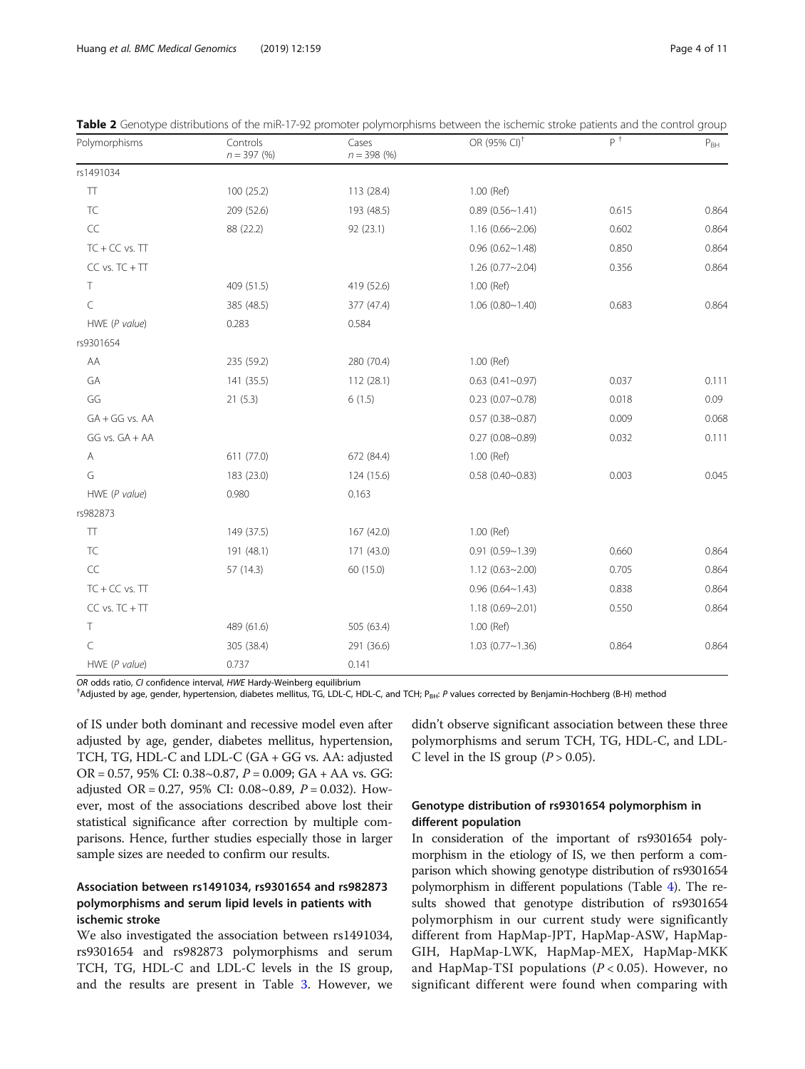| Polymorphisms      | Controls<br>$n = 397 (%)$ | Cases<br>$n = 398(%)$ | OR (95% CI) <sup>+</sup> | $P^+$ | $P_{BH}$ |
|--------------------|---------------------------|-----------------------|--------------------------|-------|----------|
| rs1491034          |                           |                       |                          |       |          |
| $\top\top$         | 100 (25.2)                | 113 (28.4)            | 1.00 (Ref)               |       |          |
| TC                 | 209 (52.6)                | 193 (48.5)            | 0.89(0.56~1.41)          | 0.615 | 0.864    |
| $\sf CC$           | 88 (22.2)                 | 92(23.1)              | $1.16(0.66 \sim 2.06)$   | 0.602 | 0.864    |
| $TC + CC$ vs. $TT$ |                           |                       | $0.96$ (0.62~1.48)       | 0.850 | 0.864    |
| $CC vs. TC + TT$   |                           |                       | $1.26(0.77-2.04)$        | 0.356 | 0.864    |
| Τ                  | 409 (51.5)                | 419 (52.6)            | 1.00 (Ref)               |       |          |
| $\subset$          | 385 (48.5)                | 377 (47.4)            | 1.06(0.80~1.40)          | 0.683 | 0.864    |
| HWE (P value)      | 0.283                     | 0.584                 |                          |       |          |
| rs9301654          |                           |                       |                          |       |          |
| AA                 | 235 (59.2)                | 280 (70.4)            | 1.00 (Ref)               |       |          |
| GA                 | 141 (35.5)                | 112 (28.1)            | $0.63$ (0.41~0.97)       | 0.037 | 0.111    |
| GG                 | 21(5.3)                   | 6(1.5)                | $0.23$ (0.07~0.78)       | 0.018 | 0.09     |
| $GA + GG$ vs. $AA$ |                           |                       | $0.57$ (0.38~0.87)       | 0.009 | 0.068    |
| GG vs. GA + AA     |                           |                       | $0.27$ (0.08~0.89)       | 0.032 | 0.111    |
| Α                  | 611 (77.0)                | 672 (84.4)            | 1.00 (Ref)               |       |          |
| G                  | 183 (23.0)                | 124 (15.6)            | $0.58$ (0.40~0.83)       | 0.003 | 0.045    |
| HWE (P value)      | 0.980                     | 0.163                 |                          |       |          |
| rs982873           |                           |                       |                          |       |          |
| TT                 | 149 (37.5)                | 167 (42.0)            | 1.00 (Ref)               |       |          |
| TC                 | 191 (48.1)                | 171 (43.0)            | $0.91(0.59 - 1.39)$      | 0.660 | 0.864    |
| $\sf CC$           | 57 (14.3)                 | 60 (15.0)             | $1.12(0.63 \sim 2.00)$   | 0.705 | 0.864    |
| $TC + CC$ vs. $TT$ |                           |                       | $0.96$ (0.64~1.43)       | 0.838 | 0.864    |
| $CC vs. TC + TT$   |                           |                       | $1.18(0.69 - 2.01)$      | 0.550 | 0.864    |
| $\top$             | 489 (61.6)                | 505 (63.4)            | 1.00 (Ref)               |       |          |
| $\subset$          | 305 (38.4)                | 291 (36.6)            | $1.03$ (0.77~1.36)       | 0.864 | 0.864    |
| HWE (P value)      | 0.737                     | 0.141                 |                          |       |          |

<span id="page-3-0"></span>Table 2 Genotype distributions of the miR-17-92 promoter polymorphisms between the ischemic stroke patients and the control group

OR odds ratio, CI confidence interval, HWE Hardy-Weinberg equilibrium

<sup>†</sup>Adjusted by age, gender, hypertension, diabetes mellitus, TG, LDL-C, HDL-C, and TCH; P<sub>BH</sub>: P values corrected by Benjamin-Hochberg (B-H) method

of IS under both dominant and recessive model even after adjusted by age, gender, diabetes mellitus, hypertension, TCH, TG, HDL-C and LDL-C (GA + GG vs. AA: adjusted OR = 0.57, 95% CI: 0.38~0.87,  $P = 0.009$ ; GA + AA vs. GG: adjusted OR = 0.27, 95% CI: 0.08~0.89,  $P = 0.032$ ). However, most of the associations described above lost their statistical significance after correction by multiple comparisons. Hence, further studies especially those in larger sample sizes are needed to confirm our results.

# Association between rs1491034, rs9301654 and rs982873 polymorphisms and serum lipid levels in patients with ischemic stroke

We also investigated the association between rs1491034, rs9301654 and rs982873 polymorphisms and serum TCH, TG, HDL-C and LDL-C levels in the IS group, and the results are present in Table [3.](#page-4-0) However, we didn't observe significant association between these three polymorphisms and serum TCH, TG, HDL-C, and LDL-C level in the IS group  $(P > 0.05)$ .

## Genotype distribution of rs9301654 polymorphism in different population

In consideration of the important of rs9301654 polymorphism in the etiology of IS, we then perform a comparison which showing genotype distribution of rs9301654 polymorphism in different populations (Table [4\)](#page-4-0). The results showed that genotype distribution of rs9301654 polymorphism in our current study were significantly different from HapMap-JPT, HapMap-ASW, HapMap-GIH, HapMap-LWK, HapMap-MEX, HapMap-MKK and HapMap-TSI populations ( $P < 0.05$ ). However, no significant different were found when comparing with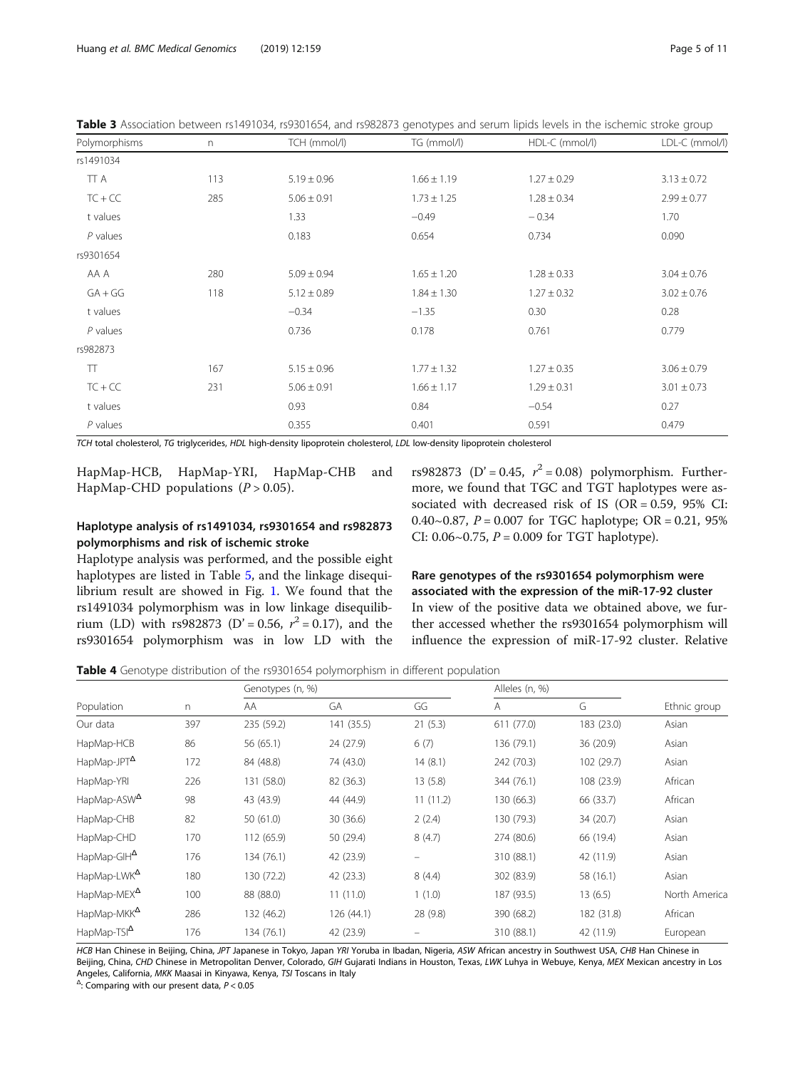<span id="page-4-0"></span>

| Table 3 Association between rs1491034, rs9301654, and rs982873 genotypes and serum lipids levels in the ischemic stroke group |  |
|-------------------------------------------------------------------------------------------------------------------------------|--|
|-------------------------------------------------------------------------------------------------------------------------------|--|

| Polymorphisms | $\Gamma$ | TCH (mmol/l)    | TG (mmol/l)     | HDL-C (mmol/l)  | LDL-C (mmol/l)  |
|---------------|----------|-----------------|-----------------|-----------------|-----------------|
| rs1491034     |          |                 |                 |                 |                 |
| TT A          | 113      | $5.19 \pm 0.96$ | $1.66 \pm 1.19$ | $1.27 \pm 0.29$ | $3.13 \pm 0.72$ |
| $TC + CC$     | 285      | $5.06 \pm 0.91$ | $1.73 \pm 1.25$ | $1.28 \pm 0.34$ | $2.99 \pm 0.77$ |
| t values      |          | 1.33            | $-0.49$         | $-0.34$         | 1.70            |
| $P$ values    |          | 0.183           | 0.654           | 0.734           | 0.090           |
| rs9301654     |          |                 |                 |                 |                 |
| AA A          | 280      | $5.09 \pm 0.94$ | $1.65 \pm 1.20$ | $1.28 \pm 0.33$ | $3.04 \pm 0.76$ |
| $GA + GG$     | 118      | $5.12 \pm 0.89$ | $1.84 \pm 1.30$ | $1.27 \pm 0.32$ | $3.02 \pm 0.76$ |
| t values      |          | $-0.34$         | $-1.35$         | 0.30            | 0.28            |
| $P$ values    |          | 0.736           | 0.178           | 0.761           | 0.779           |
| rs982873      |          |                 |                 |                 |                 |
| $\top$        | 167      | $5.15 \pm 0.96$ | $1.77 \pm 1.32$ | $1.27 \pm 0.35$ | $3.06 \pm 0.79$ |
| $TC + CC$     | 231      | $5.06 \pm 0.91$ | $1.66 \pm 1.17$ | $1.29 \pm 0.31$ | $3.01 \pm 0.73$ |
| t values      |          | 0.93            | 0.84            | $-0.54$         | 0.27            |
| $P$ values    |          | 0.355           | 0.401           | 0.591           | 0.479           |

TCH total cholesterol, TG triglycerides, HDL high-density lipoprotein cholesterol, LDL low-density lipoprotein cholesterol

HapMap-HCB, HapMap-YRI, HapMap-CHB and HapMap-CHD populations  $(P > 0.05)$ .

# Haplotype analysis of rs1491034, rs9301654 and rs982873 polymorphisms and risk of ischemic stroke

rs9301654 polymorphism was in low LD with the

Haplotype analysis was performed, and the possible eight haplotypes are listed in Table [5](#page-5-0), and the linkage disequilibrium result are showed in Fig. [1.](#page-5-0) We found that the rs1491034 polymorphism was in low linkage disequilibrium (LD) with rs982873 (D' = 0.56,  $r^2 = 0.17$ ), and the

rs982873 (D' = 0.45,  $r^2$  = 0.08) polymorphism. Furthermore, we found that TGC and TGT haplotypes were associated with decreased risk of IS (OR = 0.59, 95% CI: 0.40~0.87,  $P = 0.007$  for TGC haplotype; OR = 0.21, 95% CI:  $0.06~0.75$ ,  $P = 0.009$  for TGT haplotype).

# Rare genotypes of the rs9301654 polymorphism were associated with the expression of the miR-17-92 cluster

In view of the positive data we obtained above, we further accessed whether the rs9301654 polymorphism will influence the expression of miR-17-92 cluster. Relative

Table 4 Genotype distribution of the rs9301654 polymorphism in different population

|                         |     | Genotypes (n, %) |            |          | Alleles (n, %) |            |               |
|-------------------------|-----|------------------|------------|----------|----------------|------------|---------------|
| Population              | n   | AA               | GA         | GG       | A              | G          | Ethnic group  |
| Our data                | 397 | 235 (59.2)       | 141 (35.5) | 21(5.3)  | 611 (77.0)     | 183 (23.0) | Asian         |
| HapMap-HCB              | 86  | 56 (65.1)        | 24 (27.9)  | 6(7)     | 136 (79.1)     | 36 (20.9)  | Asian         |
| HapMap-JPT <sup>4</sup> | 172 | 84 (48.8)        | 74 (43.0)  | 14(8.1)  | 242 (70.3)     | 102 (29.7) | Asian         |
| HapMap-YRI              | 226 | 131 (58.0)       | 82 (36.3)  | 13(5.8)  | 344 (76.1)     | 108 (23.9) | African       |
| HapMap-ASW <sup>A</sup> | 98  | 43 (43.9)        | 44 (44.9)  | 11(11.2) | 130 (66.3)     | 66 (33.7)  | African       |
| HapMap-CHB              | 82  | 50(61.0)         | 30 (36.6)  | 2(2.4)   | 130 (79.3)     | 34 (20.7)  | Asian         |
| HapMap-CHD              | 170 | 112 (65.9)       | 50 (29.4)  | 8(4.7)   | 274 (80.6)     | 66 (19.4)  | Asian         |
| HapMap-GIH <sup>A</sup> | 176 | 134 (76.1)       | 42 (23.9)  | -        | 310 (88.1)     | 42 (11.9)  | Asian         |
| HapMap-LWK <sup>A</sup> | 180 | 130 (72.2)       | 42 (23.3)  | 8(4.4)   | 302 (83.9)     | 58 (16.1)  | Asian         |
| HapMap-MEX <sup>A</sup> | 100 | 88 (88.0)        | 11(11.0)   | 1(1.0)   | 187 (93.5)     | 13(6.5)    | North America |
| HapMap-MKK <sup>A</sup> | 286 | 132 (46.2)       | 126 (44.1) | 28 (9.8) | 390 (68.2)     | 182 (31.8) | African       |
| HapMap-TSI <sup>A</sup> | 176 | 134 (76.1)       | 42 (23.9)  |          | 310 (88.1)     | 42 (11.9)  | European      |

HCB Han Chinese in Beijing, China, JPT Japanese in Tokyo, Japan YRI Yoruba in Ibadan, Nigeria, ASW African ancestry in Southwest USA, CHB Han Chinese in Beijing, China, CHD Chinese in Metropolitan Denver, Colorado, GIH Gujarati Indians in Houston, Texas, LWK Luhya in Webuye, Kenya, MEX Mexican ancestry in Los Angeles, California, MKK Maasai in Kinyawa, Kenya, TSI Toscans in Italy

 $\triangle$ : Comparing with our present data,  $P < 0.05$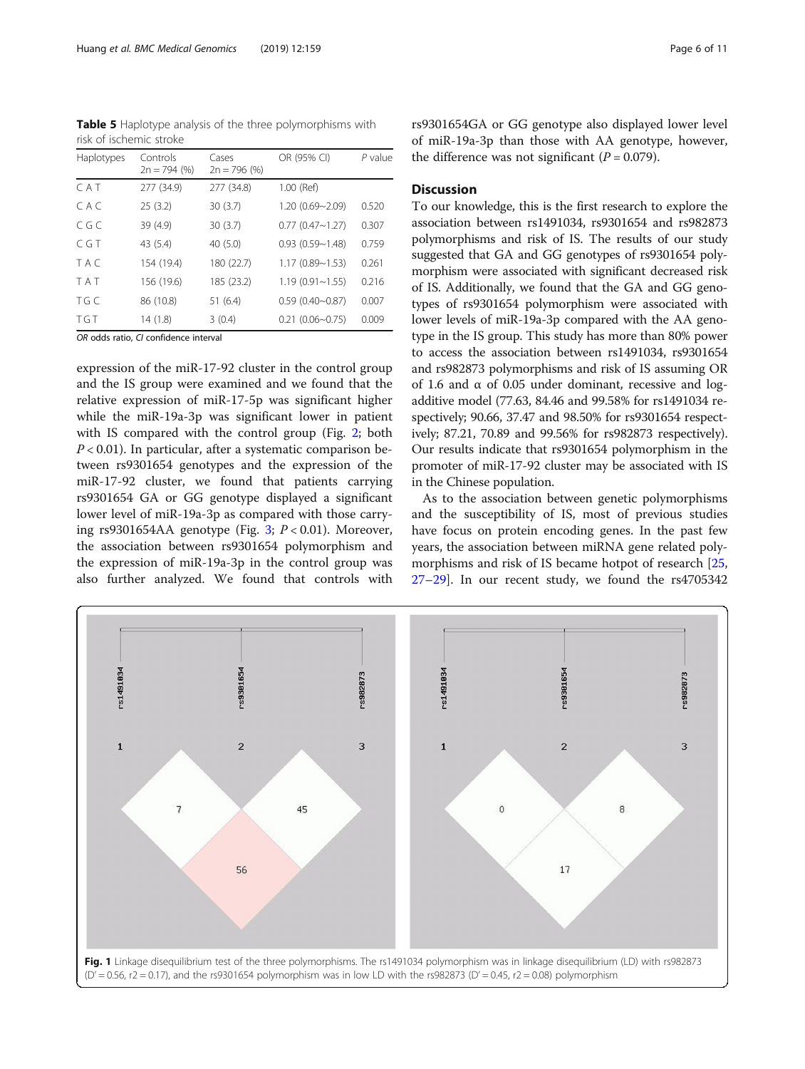<span id="page-5-0"></span>Table 5 Haplotype analysis of the three polymorphisms with risk of ischemic stroke

| Haplotypes | Controls<br>$2n = 794$ (%) | Cases<br>$2n = 796$ (%) | OR (95% CI)            | $P$ value |
|------------|----------------------------|-------------------------|------------------------|-----------|
| CAT        | 277 (34.9)                 | 277 (34.8)              | 1.00 (Ref)             |           |
| CAC        | 25(3.2)                    | 30(3.7)                 | $1.20(0.69 - 2.09)$    | 0.520     |
| C G C      | 39 (4.9)                   | 30(3.7)                 | $0.77$ $(0.47 - 1.27)$ | 0.307     |
| C G T      | 43 (5.4)                   | 40(5.0)                 | $0.93(0.59 - 1.48)$    | 0.759     |
| T A C      | 154 (19.4)                 | 180 (22.7)              | $1.17(0.89 - 1.53)$    | 0.261     |
| <b>TAT</b> | 156 (19.6)                 | 185 (23.2)              | $1.19(0.91 - 1.55)$    | 0.216     |
| TG C       | 86 (10.8)                  | 51(6.4)                 | $0.59(0.40 - 0.87)$    | 0.007     |
| <b>TGT</b> | 14(1.8)                    | 3(0.4)                  | $0.21$ $(0.06 - 0.75)$ | 0.009     |

OR odds ratio, CI confidence interval

expression of the miR-17-92 cluster in the control group and the IS group were examined and we found that the relative expression of miR-17-5p was significant higher while the miR-19a-3p was significant lower in patient with IS compared with the control group (Fig. [2](#page-6-0); both  $P < 0.01$ ). In particular, after a systematic comparison between rs9301654 genotypes and the expression of the miR-17-92 cluster, we found that patients carrying rs9301654 GA or GG genotype displayed a significant lower level of miR-19a-3p as compared with those carry-ing rs9[3](#page-7-0)01654AA genotype (Fig. 3;  $P < 0.01$ ). Moreover, the association between rs9301654 polymorphism and the expression of miR-19a-3p in the control group was also further analyzed. We found that controls with rs9301654GA or GG genotype also displayed lower level of miR-19a-3p than those with AA genotype, however, the difference was not significant  $(P = 0.079)$ .

# Discussion

To our knowledge, this is the first research to explore the association between rs1491034, rs9301654 and rs982873 polymorphisms and risk of IS. The results of our study suggested that GA and GG genotypes of rs9301654 polymorphism were associated with significant decreased risk of IS. Additionally, we found that the GA and GG genotypes of rs9301654 polymorphism were associated with lower levels of miR-19a-3p compared with the AA genotype in the IS group. This study has more than 80% power to access the association between rs1491034, rs9301654 and rs982873 polymorphisms and risk of IS assuming OR of 1.6 and  $\alpha$  of 0.05 under dominant, recessive and logadditive model (77.63, 84.46 and 99.58% for rs1491034 respectively; 90.66, 37.47 and 98.50% for rs9301654 respectively; 87.21, 70.89 and 99.56% for rs982873 respectively). Our results indicate that rs9301654 polymorphism in the promoter of miR-17-92 cluster may be associated with IS in the Chinese population.

As to the association between genetic polymorphisms and the susceptibility of IS, most of previous studies have focus on protein encoding genes. In the past few years, the association between miRNA gene related polymorphisms and risk of IS became hotpot of research [[25](#page-9-0), [27](#page-9-0)–[29](#page-9-0)]. In our recent study, we found the rs4705342

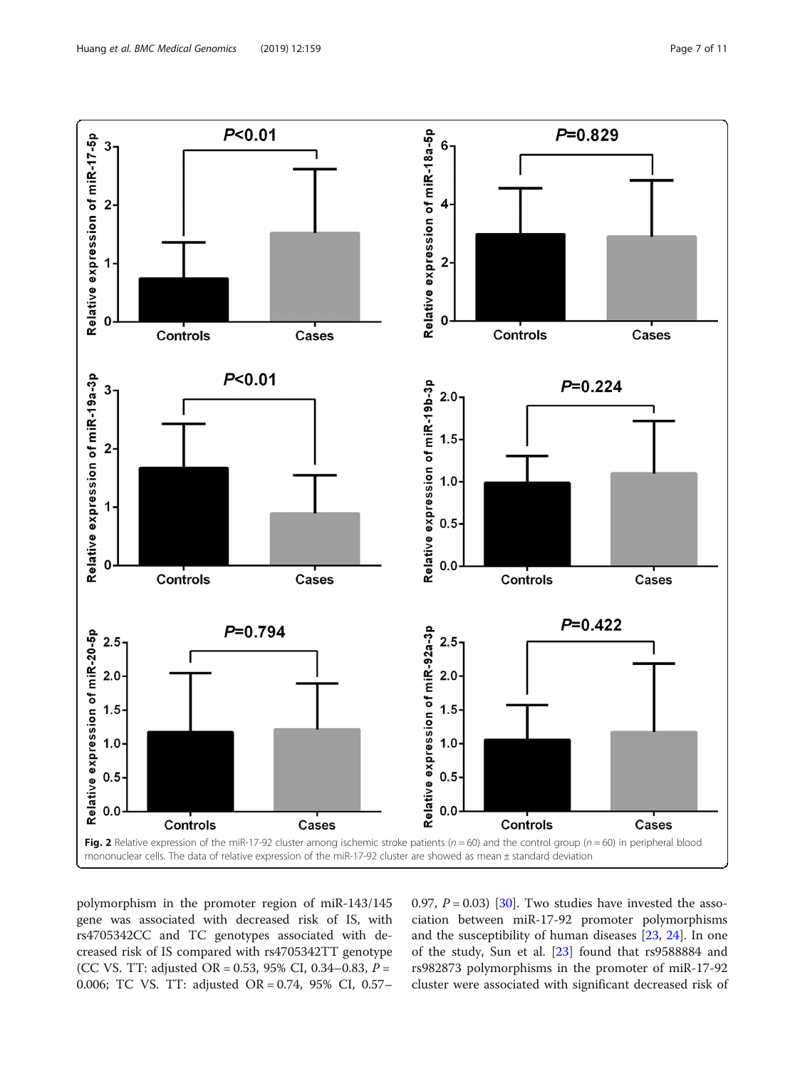<span id="page-6-0"></span>

polymorphism in the promoter region of miR-143/145 gene was associated with decreased risk of IS, with rs4705342CC and TC genotypes associated with decreased risk of IS compared with rs4705342TT genotype (CC VS. TT: adjusted OR = 0.53, 95% CI, 0.34–0.83,  $P =$ 0.006; TC VS. TT: adjusted OR = 0.74, 95% CI, 0.57– 0.97,  $P = 0.03$  [\[30](#page-9-0)]. Two studies have invested the association between miR-17-92 promoter polymorphisms and the susceptibility of human diseases [[23,](#page-9-0) [24\]](#page-9-0). In one of the study, Sun et al. [\[23](#page-9-0)] found that rs9588884 and rs982873 polymorphisms in the promoter of miR-17-92 cluster were associated with significant decreased risk of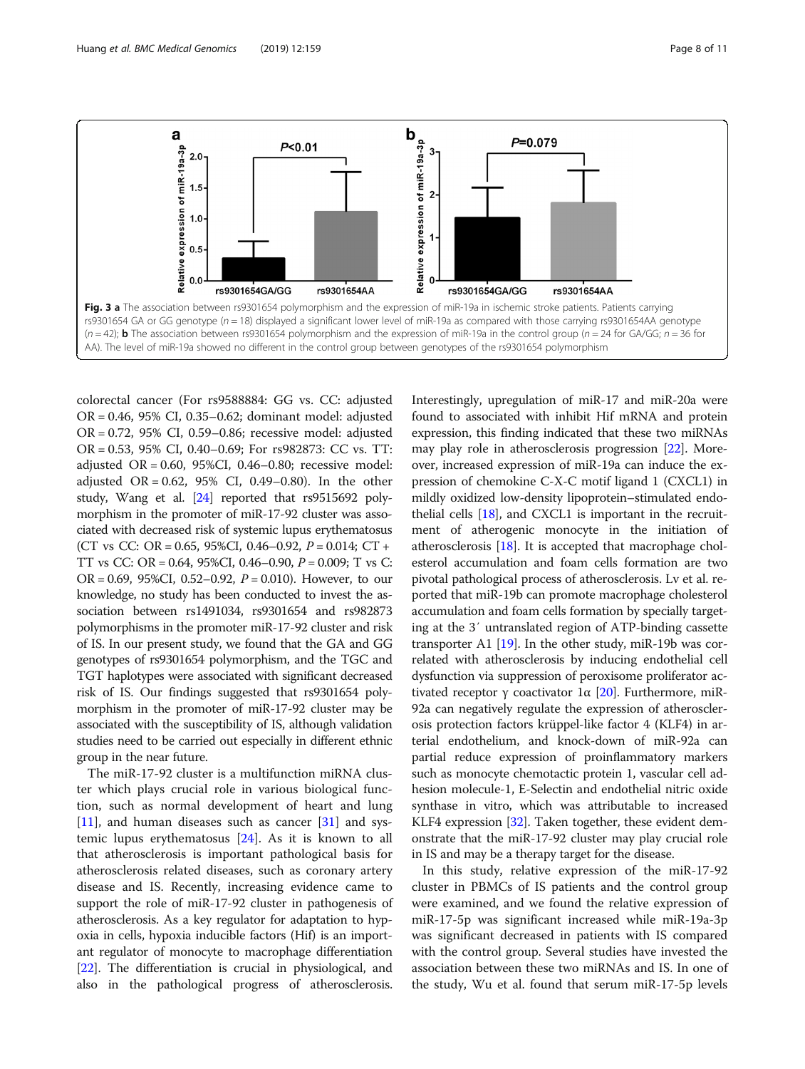<span id="page-7-0"></span>

colorectal cancer (For rs9588884: GG vs. CC: adjusted OR = 0.46, 95% CI, 0.35–0.62; dominant model: adjusted OR = 0.72, 95% CI, 0.59–0.86; recessive model: adjusted OR = 0.53, 95% CI, 0.40–0.69; For rs982873: CC vs. TT: adjusted OR = 0.60, 95%CI, 0.46–0.80; recessive model: adjusted OR = 0.62, 95% CI, 0.49–0.80). In the other study, Wang et al. [\[24\]](#page-9-0) reported that rs9515692 polymorphism in the promoter of miR-17-92 cluster was associated with decreased risk of systemic lupus erythematosus (CT vs CC: OR = 0.65, 95%CI, 0.46–0.92,  $P = 0.014$ ; CT + TT vs CC: OR = 0.64, 95%CI, 0.46–0.90, P = 0.009; T vs C: OR = 0.69, 95%CI, 0.52–0.92,  $P = 0.010$ ). However, to our knowledge, no study has been conducted to invest the association between rs1491034, rs9301654 and rs982873 polymorphisms in the promoter miR-17-92 cluster and risk of IS. In our present study, we found that the GA and GG genotypes of rs9301654 polymorphism, and the TGC and TGT haplotypes were associated with significant decreased risk of IS. Our findings suggested that rs9301654 polymorphism in the promoter of miR-17-92 cluster may be associated with the susceptibility of IS, although validation studies need to be carried out especially in different ethnic group in the near future.

The miR-17-92 cluster is a multifunction miRNA cluster which plays crucial role in various biological function, such as normal development of heart and lung  $[11]$  $[11]$ , and human diseases such as cancer  $[31]$  $[31]$  and systemic lupus erythematosus [\[24](#page-9-0)]. As it is known to all that atherosclerosis is important pathological basis for atherosclerosis related diseases, such as coronary artery disease and IS. Recently, increasing evidence came to support the role of miR-17-92 cluster in pathogenesis of atherosclerosis. As a key regulator for adaptation to hypoxia in cells, hypoxia inducible factors (Hif) is an important regulator of monocyte to macrophage differentiation [[22](#page-9-0)]. The differentiation is crucial in physiological, and also in the pathological progress of atherosclerosis. Interestingly, upregulation of miR-17 and miR-20a were found to associated with inhibit Hif mRNA and protein expression, this finding indicated that these two miRNAs may play role in atherosclerosis progression [\[22\]](#page-9-0). Moreover, increased expression of miR-19a can induce the expression of chemokine C-X-C motif ligand 1 (CXCL1) in mildly oxidized low-density lipoprotein–stimulated endothelial cells [[18](#page-9-0)], and CXCL1 is important in the recruitment of atherogenic monocyte in the initiation of atherosclerosis [\[18\]](#page-9-0). It is accepted that macrophage cholesterol accumulation and foam cells formation are two pivotal pathological process of atherosclerosis. Lv et al. reported that miR-19b can promote macrophage cholesterol accumulation and foam cells formation by specially targeting at the 3′ untranslated region of ATP-binding cassette transporter A1  $[19]$  $[19]$ . In the other study, miR-19b was correlated with atherosclerosis by inducing endothelial cell dysfunction via suppression of peroxisome proliferator activated receptor γ coactivator  $1α$  [[20](#page-9-0)]. Furthermore, miR-92a can negatively regulate the expression of atherosclerosis protection factors krüppel-like factor 4 (KLF4) in arterial endothelium, and knock-down of miR-92a can partial reduce expression of proinflammatory markers such as monocyte chemotactic protein 1, vascular cell adhesion molecule-1, E-Selectin and endothelial nitric oxide synthase in vitro, which was attributable to increased KLF4 expression [[32](#page-9-0)]. Taken together, these evident demonstrate that the miR-17-92 cluster may play crucial role in IS and may be a therapy target for the disease.

In this study, relative expression of the miR-17-92 cluster in PBMCs of IS patients and the control group were examined, and we found the relative expression of miR-17-5p was significant increased while miR-19a-3p was significant decreased in patients with IS compared with the control group. Several studies have invested the association between these two miRNAs and IS. In one of the study, Wu et al. found that serum miR-17-5p levels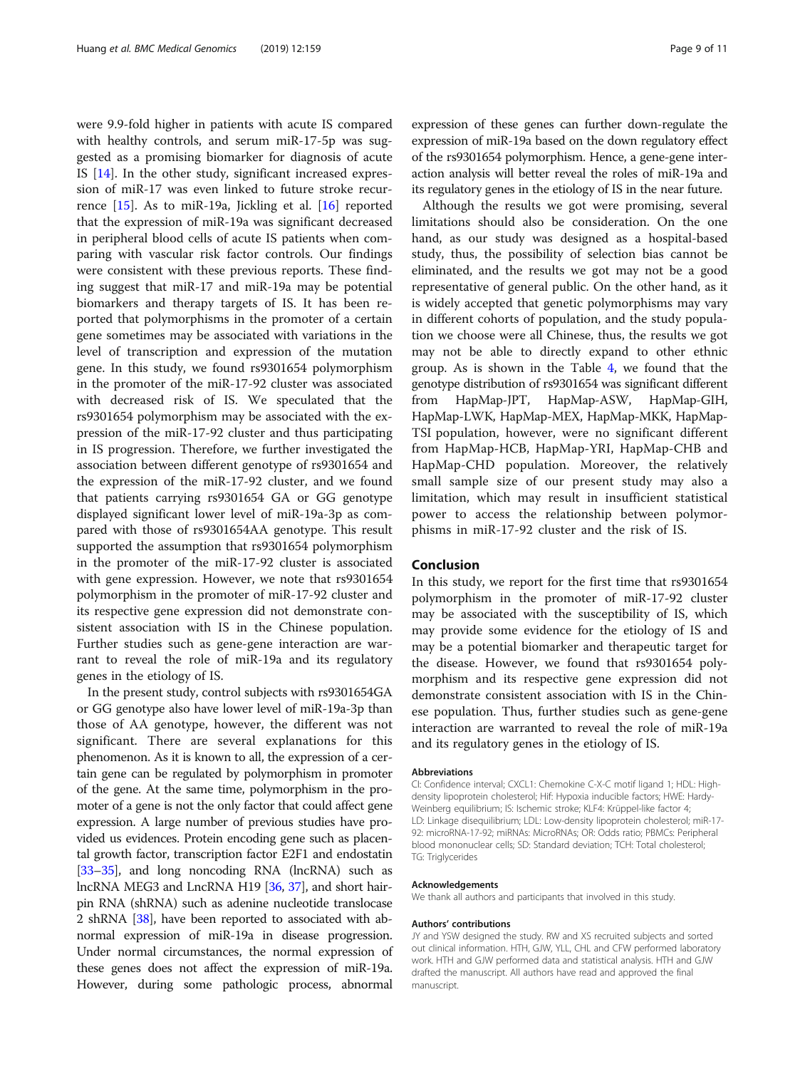were 9.9-fold higher in patients with acute IS compared with healthy controls, and serum miR-17-5p was suggested as a promising biomarker for diagnosis of acute IS [[14\]](#page-9-0). In the other study, significant increased expression of miR-17 was even linked to future stroke recurrence [[15](#page-9-0)]. As to miR-19a, Jickling et al. [\[16](#page-9-0)] reported that the expression of miR-19a was significant decreased in peripheral blood cells of acute IS patients when comparing with vascular risk factor controls. Our findings were consistent with these previous reports. These finding suggest that miR-17 and miR-19a may be potential biomarkers and therapy targets of IS. It has been reported that polymorphisms in the promoter of a certain gene sometimes may be associated with variations in the level of transcription and expression of the mutation gene. In this study, we found rs9301654 polymorphism in the promoter of the miR-17-92 cluster was associated with decreased risk of IS. We speculated that the rs9301654 polymorphism may be associated with the expression of the miR-17-92 cluster and thus participating in IS progression. Therefore, we further investigated the association between different genotype of rs9301654 and the expression of the miR-17-92 cluster, and we found that patients carrying rs9301654 GA or GG genotype displayed significant lower level of miR-19a-3p as compared with those of rs9301654AA genotype. This result supported the assumption that rs9301654 polymorphism in the promoter of the miR-17-92 cluster is associated with gene expression. However, we note that rs9301654 polymorphism in the promoter of miR-17-92 cluster and its respective gene expression did not demonstrate consistent association with IS in the Chinese population. Further studies such as gene-gene interaction are warrant to reveal the role of miR-19a and its regulatory genes in the etiology of IS.

In the present study, control subjects with rs9301654GA or GG genotype also have lower level of miR-19a-3p than those of AA genotype, however, the different was not significant. There are several explanations for this phenomenon. As it is known to all, the expression of a certain gene can be regulated by polymorphism in promoter of the gene. At the same time, polymorphism in the promoter of a gene is not the only factor that could affect gene expression. A large number of previous studies have provided us evidences. Protein encoding gene such as placental growth factor, transcription factor E2F1 and endostatin [[33](#page-10-0)–[35\]](#page-10-0), and long noncoding RNA (lncRNA) such as lncRNA MEG3 and LncRNA H19 [\[36](#page-10-0), [37\]](#page-10-0), and short hairpin RNA (shRNA) such as adenine nucleotide translocase 2 shRNA [\[38](#page-10-0)], have been reported to associated with abnormal expression of miR-19a in disease progression. Under normal circumstances, the normal expression of these genes does not affect the expression of miR-19a. However, during some pathologic process, abnormal expression of these genes can further down-regulate the expression of miR-19a based on the down regulatory effect of the rs9301654 polymorphism. Hence, a gene-gene interaction analysis will better reveal the roles of miR-19a and its regulatory genes in the etiology of IS in the near future.

Although the results we got were promising, several limitations should also be consideration. On the one hand, as our study was designed as a hospital-based study, thus, the possibility of selection bias cannot be eliminated, and the results we got may not be a good representative of general public. On the other hand, as it is widely accepted that genetic polymorphisms may vary in different cohorts of population, and the study population we choose were all Chinese, thus, the results we got may not be able to directly expand to other ethnic group. As is shown in the Table [4](#page-4-0), we found that the genotype distribution of rs9301654 was significant different from HapMap-JPT, HapMap-ASW, HapMap-GIH, HapMap-LWK, HapMap-MEX, HapMap-MKK, HapMap-TSI population, however, were no significant different from HapMap-HCB, HapMap-YRI, HapMap-CHB and HapMap-CHD population. Moreover, the relatively small sample size of our present study may also a limitation, which may result in insufficient statistical power to access the relationship between polymorphisms in miR-17-92 cluster and the risk of IS.

### Conclusion

In this study, we report for the first time that rs9301654 polymorphism in the promoter of miR-17-92 cluster may be associated with the susceptibility of IS, which may provide some evidence for the etiology of IS and may be a potential biomarker and therapeutic target for the disease. However, we found that rs9301654 polymorphism and its respective gene expression did not demonstrate consistent association with IS in the Chinese population. Thus, further studies such as gene-gene interaction are warranted to reveal the role of miR-19a and its regulatory genes in the etiology of IS.

#### Abbreviations

CI: Confidence interval; CXCL1: Chemokine C-X-C motif ligand 1; HDL: Highdensity lipoprotein cholesterol; Hif: Hypoxia inducible factors; HWE: Hardy-Weinberg equilibrium; IS: Ischemic stroke; KLF4: Krüppel-like factor 4; LD: Linkage disequilibrium; LDL: Low-density lipoprotein cholesterol; miR-17- 92: microRNA-17-92; miRNAs: MicroRNAs; OR: Odds ratio; PBMCs: Peripheral blood mononuclear cells; SD: Standard deviation; TCH: Total cholesterol; TG: Triglycerides

#### Acknowledgements

We thank all authors and participants that involved in this study.

#### Authors' contributions

JY and YSW designed the study. RW and XS recruited subjects and sorted out clinical information. HTH, GJW, YLL, CHL and CFW performed laboratory work. HTH and GJW performed data and statistical analysis. HTH and GJW drafted the manuscript. All authors have read and approved the final manuscript.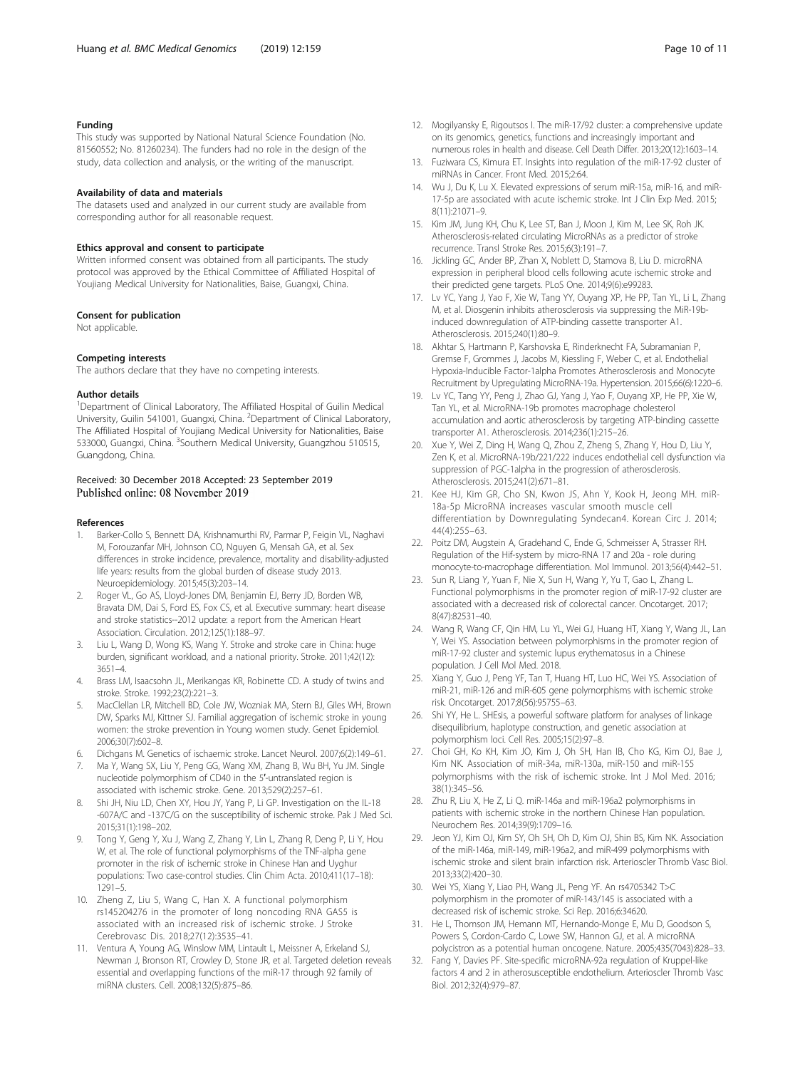#### <span id="page-9-0"></span>Funding

This study was supported by National Natural Science Foundation (No. 81560552; No. 81260234). The funders had no role in the design of the study, data collection and analysis, or the writing of the manuscript.

#### Availability of data and materials

The datasets used and analyzed in our current study are available from corresponding author for all reasonable request.

#### Ethics approval and consent to participate

Written informed consent was obtained from all participants. The study protocol was approved by the Ethical Committee of Affiliated Hospital of Youjiang Medical University for Nationalities, Baise, Guangxi, China.

#### Consent for publication

Not applicable.

#### Competing interests

The authors declare that they have no competing interests.

#### Author details

<sup>1</sup>Department of Clinical Laboratory, The Affiliated Hospital of Guilin Medical University, Guilin 541001, Guangxi, China. <sup>2</sup>Department of Clinical Laboratory, The Affiliated Hospital of Youjiang Medical University for Nationalities, Baise 533000, Guangxi, China. <sup>3</sup>Southern Medical University, Guangzhou 510515, Guangdong, China.

# Received: 30 December 2018 Accepted: 23 September 2019

#### References

- Barker-Collo S, Bennett DA, Krishnamurthi RV, Parmar P, Feigin VL, Naghavi M, Forouzanfar MH, Johnson CO, Nguyen G, Mensah GA, et al. Sex differences in stroke incidence, prevalence, mortality and disability-adjusted life years: results from the global burden of disease study 2013. Neuroepidemiology. 2015;45(3):203–14.
- 2. Roger VL, Go AS, Lloyd-Jones DM, Benjamin EJ, Berry JD, Borden WB, Bravata DM, Dai S, Ford ES, Fox CS, et al. Executive summary: heart disease and stroke statistics--2012 update: a report from the American Heart Association. Circulation. 2012;125(1):188–97.
- 3. Liu L, Wang D, Wong KS, Wang Y. Stroke and stroke care in China: huge burden, significant workload, and a national priority. Stroke. 2011;42(12): 3651–4.
- 4. Brass LM, Isaacsohn JL, Merikangas KR, Robinette CD. A study of twins and stroke. Stroke. 1992;23(2):221–3.
- 5. MacClellan LR, Mitchell BD, Cole JW, Wozniak MA, Stern BJ, Giles WH, Brown DW, Sparks MJ, Kittner SJ. Familial aggregation of ischemic stroke in young women: the stroke prevention in Young women study. Genet Epidemiol. 2006;30(7):602–8.
- 6. Dichgans M. Genetics of ischaemic stroke. Lancet Neurol. 2007;6(2):149–61.
- 7. Ma Y, Wang SX, Liu Y, Peng GG, Wang XM, Zhang B, Wu BH, Yu JM. Single nucleotide polymorphism of CD40 in the 5′-untranslated region is associated with ischemic stroke. Gene. 2013;529(2):257–61.
- 8. Shi JH, Niu LD, Chen XY, Hou JY, Yang P, Li GP. Investigation on the IL-18 -607A/C and -137C/G on the susceptibility of ischemic stroke. Pak J Med Sci. 2015;31(1):198–202.
- Tong Y, Geng Y, Xu J, Wang Z, Zhang Y, Lin L, Zhang R, Deng P, Li Y, Hou W, et al. The role of functional polymorphisms of the TNF-alpha gene promoter in the risk of ischemic stroke in Chinese Han and Uyghur populations: Two case-control studies. Clin Chim Acta. 2010;411(17–18): 1291–5.
- 10. Zheng Z, Liu S, Wang C, Han X. A functional polymorphism rs145204276 in the promoter of long noncoding RNA GAS5 is associated with an increased risk of ischemic stroke. J Stroke Cerebrovasc Dis. 2018;27(12):3535–41.
- 11. Ventura A, Young AG, Winslow MM, Lintault L, Meissner A, Erkeland SJ, Newman J, Bronson RT, Crowley D, Stone JR, et al. Targeted deletion reveals essential and overlapping functions of the miR-17 through 92 family of miRNA clusters. Cell. 2008;132(5):875–86.
- 12. Mogilyansky E, Rigoutsos I. The miR-17/92 cluster: a comprehensive update on its genomics, genetics, functions and increasingly important and numerous roles in health and disease. Cell Death Differ. 2013;20(12):1603–14.
- 13. Fuziwara CS, Kimura ET. Insights into regulation of the miR-17-92 cluster of miRNAs in Cancer. Front Med. 2015;2:64.
- 14. Wu J, Du K, Lu X. Elevated expressions of serum miR-15a, miR-16, and miR-17-5p are associated with acute ischemic stroke. Int J Clin Exp Med. 2015; 8(11):21071–9.
- 15. Kim JM, Jung KH, Chu K, Lee ST, Ban J, Moon J, Kim M, Lee SK, Roh JK. Atherosclerosis-related circulating MicroRNAs as a predictor of stroke recurrence. Transl Stroke Res. 2015;6(3):191–7.
- 16. Jickling GC, Ander BP, Zhan X, Noblett D, Stamova B, Liu D. microRNA expression in peripheral blood cells following acute ischemic stroke and their predicted gene targets. PLoS One. 2014;9(6):e99283.
- 17. Lv YC, Yang J, Yao F, Xie W, Tang YY, Ouyang XP, He PP, Tan YL, Li L, Zhang M, et al. Diosgenin inhibits atherosclerosis via suppressing the MiR-19binduced downregulation of ATP-binding cassette transporter A1. Atherosclerosis. 2015;240(1):80–9.
- 18. Akhtar S, Hartmann P, Karshovska E, Rinderknecht FA, Subramanian P, Gremse F, Grommes J, Jacobs M, Kiessling F, Weber C, et al. Endothelial Hypoxia-Inducible Factor-1alpha Promotes Atherosclerosis and Monocyte Recruitment by Upregulating MicroRNA-19a. Hypertension. 2015;66(6):1220–6.
- 19. Lv YC, Tang YY, Peng J, Zhao GJ, Yang J, Yao F, Ouyang XP, He PP, Xie W, Tan YL, et al. MicroRNA-19b promotes macrophage cholesterol accumulation and aortic atherosclerosis by targeting ATP-binding cassette transporter A1. Atherosclerosis. 2014;236(1):215–26.
- 20. Xue Y, Wei Z, Ding H, Wang Q, Zhou Z, Zheng S, Zhang Y, Hou D, Liu Y, Zen K, et al. MicroRNA-19b/221/222 induces endothelial cell dysfunction via suppression of PGC-1alpha in the progression of atherosclerosis. Atherosclerosis. 2015;241(2):671–81.
- 21. Kee HJ, Kim GR, Cho SN, Kwon JS, Ahn Y, Kook H, Jeong MH. miR-18a-5p MicroRNA increases vascular smooth muscle cell differentiation by Downregulating Syndecan4. Korean Circ J. 2014; 44(4):255–63.
- 22. Poitz DM, Augstein A, Gradehand C, Ende G, Schmeisser A, Strasser RH. Regulation of the Hif-system by micro-RNA 17 and 20a - role during monocyte-to-macrophage differentiation. Mol Immunol. 2013;56(4):442–51.
- 23. Sun R, Liang Y, Yuan F, Nie X, Sun H, Wang Y, Yu T, Gao L, Zhang L. Functional polymorphisms in the promoter region of miR-17-92 cluster are associated with a decreased risk of colorectal cancer. Oncotarget. 2017; 8(47):82531–40.
- 24. Wang R, Wang CF, Qin HM, Lu YL, Wei GJ, Huang HT, Xiang Y, Wang JL, Lan Y, Wei YS. Association between polymorphisms in the promoter region of miR-17-92 cluster and systemic lupus erythematosus in a Chinese population. J Cell Mol Med. 2018.
- 25. Xiang Y, Guo J, Peng YF, Tan T, Huang HT, Luo HC, Wei YS. Association of miR-21, miR-126 and miR-605 gene polymorphisms with ischemic stroke risk. Oncotarget. 2017;8(56):95755–63.
- 26. Shi YY, He L. SHEsis, a powerful software platform for analyses of linkage disequilibrium, haplotype construction, and genetic association at polymorphism loci. Cell Res. 2005;15(2):97–8.
- 27. Choi GH, Ko KH, Kim JO, Kim J, Oh SH, Han IB, Cho KG, Kim OJ, Bae J, Kim NK. Association of miR-34a, miR-130a, miR-150 and miR-155 polymorphisms with the risk of ischemic stroke. Int J Mol Med. 2016; 38(1):345–56.
- 28. Zhu R, Liu X, He Z, Li Q. miR-146a and miR-196a2 polymorphisms in patients with ischemic stroke in the northern Chinese Han population. Neurochem Res. 2014;39(9):1709–16.
- 29. Jeon YJ, Kim OJ, Kim SY, Oh SH, Oh D, Kim OJ, Shin BS, Kim NK. Association of the miR-146a, miR-149, miR-196a2, and miR-499 polymorphisms with ischemic stroke and silent brain infarction risk. Arterioscler Thromb Vasc Biol. 2013;33(2):420–30.
- 30. Wei YS, Xiang Y, Liao PH, Wang JL, Peng YF. An rs4705342 T>C polymorphism in the promoter of miR-143/145 is associated with a decreased risk of ischemic stroke. Sci Rep. 2016;6:34620.
- 31. He L, Thomson JM, Hemann MT, Hernando-Monge E, Mu D, Goodson S, Powers S, Cordon-Cardo C, Lowe SW, Hannon GJ, et al. A microRNA polycistron as a potential human oncogene. Nature. 2005;435(7043):828–33.
- 32. Fang Y, Davies PF. Site-specific microRNA-92a regulation of Kruppel-like factors 4 and 2 in atherosusceptible endothelium. Arterioscler Thromb Vasc Biol. 2012;32(4):979–87.